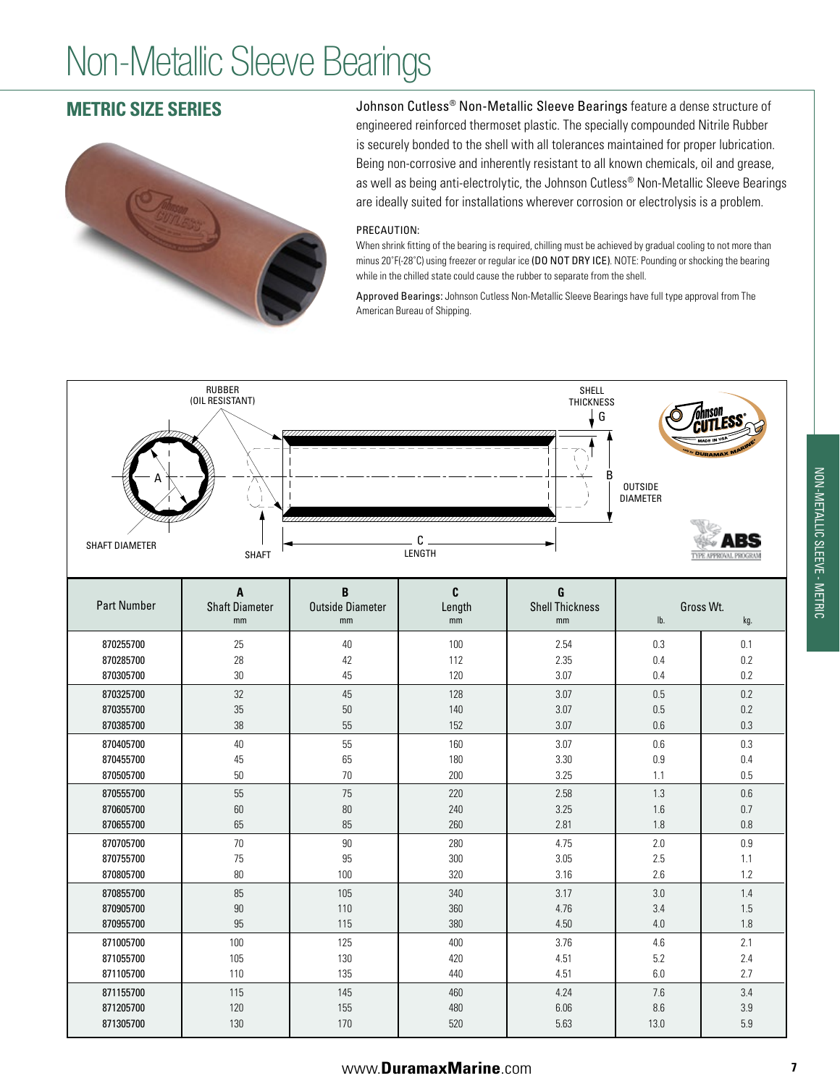# Non-Metallic Sleeve Bearings

## **METRIC SIZE SERIES**



Johnson Cutless<sup>®</sup> Non-Metallic Sleeve Bearings feature a dense structure of engineered reinforced thermoset plastic. The specially compounded Nitrile Rubber is securely bonded to the shell with all tolerances maintained for proper lubrication. Being non-corrosive and inherently resistant to all known chemicals, oil and grease, as well as being anti-electrolytic, the Johnson Cutless® Non-Metallic Sleeve Bearings are ideally suited for installations wherever corrosion or electrolysis is a problem.

#### PRECAUTION:

When shrink fitting of the bearing is required, chilling must be achieved by gradual cooling to not more than minus 20°F(-28°C) using freezer or regular ice (DO NOT DRY ICE). NOTE: Pounding or shocking the bearing while in the chilled state could cause the rubber to separate from the shell.

Approved Bearings: Johnson Cutless Non-Metallic Sleeve Bearings have full type approval from The American Bureau of Shipping.

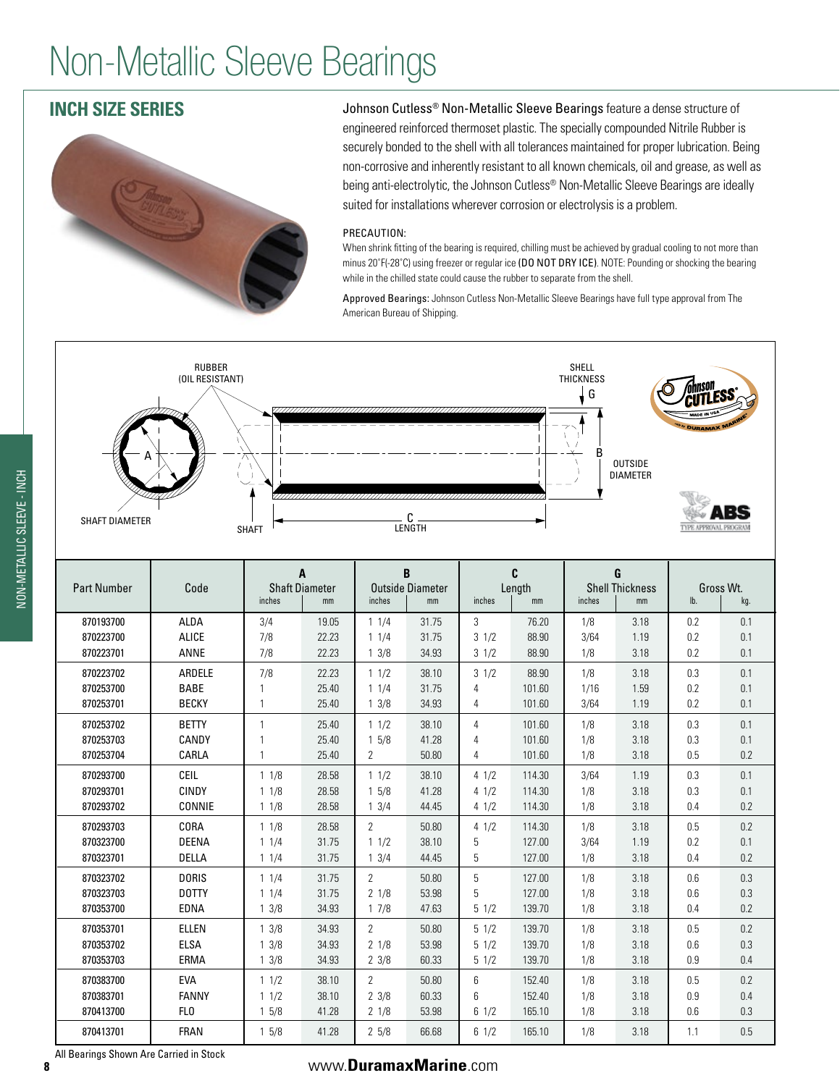# Non-Metallic Sleeve Bearings

## **INCH SIZE SERIES**



Johnson Cutless<sup>®</sup> Non-Metallic Sleeve Bearings feature a dense structure of engineered reinforced thermoset plastic. The specially compounded Nitrile Rubber is securely bonded to the shell with all tolerances maintained for proper lubrication. Being non-corrosive and inherently resistant to all known chemicals, oil and grease, as well as being anti-electrolytic, the Johnson Cutless® Non-Metallic Sleeve Bearings are ideally suited for installations wherever corrosion or electrolysis is a problem.

#### PRECAUTION:

When shrink fitting of the bearing is required, chilling must be achieved by gradual cooling to not more than minus 20˚F(-28˚C) using freezer or regular ice (DO NOT DRY ICE). NOTE: Pounding or shocking the bearing while in the chilled state could cause the rubber to separate from the shell.

Approved Bearings: Johnson Cutless Non-Metallic Sleeve Bearings have full type approval from The American Bureau of Shipping.



| <b>Part Number</b>                  | Code                                  | A<br><b>Shaft Diameter</b><br>inches<br>mm |                         | B<br><b>Outside Diameter</b><br>inches<br>mm |                         | C<br>Length<br>inches<br>mm            |                            | G<br><b>Shell Thickness</b><br>inches<br>mm |                      | Gross Wt.<br>lb.<br>kg. |                   |
|-------------------------------------|---------------------------------------|--------------------------------------------|-------------------------|----------------------------------------------|-------------------------|----------------------------------------|----------------------------|---------------------------------------------|----------------------|-------------------------|-------------------|
| 870193700                           | <b>ALDA</b>                           | 3/4                                        | 19.05                   | 11/4                                         | 31.75                   | 3                                      | 76.20                      | 1/8                                         | 3.18                 | 0.2                     | 0.1               |
| 870223700                           | ALICE                                 | 7/8                                        | 22.23                   | 11/4                                         | 31.75                   | 31/2                                   | 88.90                      | 3/64                                        | 1.19                 | 0.2                     | 0.1               |
| 870223701                           | <b>ANNE</b>                           | 7/8                                        | 22.23                   | $1 \frac{3}{8}$                              | 34.93                   | $3 \frac{1}{2}$                        | 88.90                      | 1/8                                         | 3.18                 | 0.2                     | 0.1               |
| 870223702<br>870253700<br>870253701 | ARDELE<br><b>BABE</b><br><b>BECKY</b> | 7/8<br>$\mathbf{1}$                        | 22.23<br>25.40<br>25.40 | 11/2<br>11/4<br>$1 \frac{3}{8}$              | 38.10<br>31.75<br>34.93 | $3 \frac{1}{2}$<br>$\overline{4}$<br>4 | 88.90<br>101.60<br>101.60  | 1/8<br>1/16<br>3/64                         | 3.18<br>1.59<br>1.19 | 0.3<br>0.2<br>0.2       | 0.1<br>0.1<br>0.1 |
| 870253702<br>870253703<br>870253704 | <b>BETTY</b><br>CANDY<br>CARLA        | 1<br>$\mathbf{1}$                          | 25.40<br>25.40<br>25.40 | 11/2<br>15/8<br>2                            | 38.10<br>41.28<br>50.80 | 4<br>$\overline{4}$<br>4               | 101.60<br>101.60<br>101.60 | 1/8<br>1/8<br>1/8                           | 3.18<br>3.18<br>3.18 | 0.3<br>0.3<br>0.5       | 0.1<br>0.1<br>0.2 |
| 870293700                           | CEIL                                  | 11/8                                       | 28.58                   | 11/2                                         | 38.10                   | 41/2                                   | 114.30                     | 3/64                                        | 1.19                 | 0.3                     | 0.1               |
| 870293701                           | <b>CINDY</b>                          | 11/8                                       | 28.58                   | 15/8                                         | 41.28                   | 41/2                                   | 114.30                     | 1/8                                         | 3.18                 | 0.3                     | 0.1               |
| 870293702                           | CONNIE                                | 11/8                                       | 28.58                   | $1 \frac{3}{4}$                              | 44.45                   | 41/2                                   | 114.30                     | 1/8                                         | 3.18                 | 0.4                     | 0.2               |
| 870293703                           | CORA                                  | 11/8                                       | 28.58                   | $\overline{2}$                               | 50.80                   | 41/2                                   | 114.30                     | 1/8                                         | 3.18                 | 0.5                     | 0.2               |
| 870323700                           | <b>DEENA</b>                          | 11/4                                       | 31.75                   | 11/2                                         | 38.10                   | 5                                      | 127.00                     | 3/64                                        | 1.19                 | 0.2                     | 0.1               |
| 870323701                           | <b>DELLA</b>                          | 11/4                                       | 31.75                   | $1 \frac{3}{4}$                              | 44.45                   | 5                                      | 127.00                     | 1/8                                         | 3.18                 | 0.4                     | 0.2               |
| 870323702                           | <b>DORIS</b>                          | 11/4                                       | 31.75                   | $\overline{2}$                               | 50.80                   | 5                                      | 127.00                     | 1/8                                         | 3.18                 | 0.6                     | 0.3               |
| 870323703                           | <b>DOTTY</b>                          | 11/4                                       | 31.75                   | 21/8                                         | 53.98                   | 5                                      | 127.00                     | 1/8                                         | 3.18                 | 0.6                     | 0.3               |
| 870353700                           | <b>EDNA</b>                           | 13/8                                       | 34.93                   | 17/8                                         | 47.63                   | 51/2                                   | 139.70                     | 1/8                                         | 3.18                 | 0.4                     | 0.2               |
| 870353701                           | <b>ELLEN</b>                          | 13/8                                       | 34.93                   | $\overline{2}$                               | 50.80                   | 51/2                                   | 139.70                     | 1/8                                         | 3.18                 | 0.5                     | 0.2               |
| 870353702                           | <b>ELSA</b>                           | 13/8                                       | 34.93                   | 21/8                                         | 53.98                   | 51/2                                   | 139.70                     | 1/8                                         | 3.18                 | 0.6                     | 0.3               |
| 870353703                           | ERMA                                  | 13/8                                       | 34.93                   | $2 \frac{3}{8}$                              | 60.33                   | 51/2                                   | 139.70                     | 1/8                                         | 3.18                 | 0.9                     | 0.4               |
| 870383700                           | EVA                                   | 11/2                                       | 38.10                   | $\overline{2}$                               | 50.80                   | 6                                      | 152.40                     | 1/8                                         | 3.18                 | 0.5                     | 0.2               |
| 870383701                           | <b>FANNY</b>                          | 11/2                                       | 38.10                   | $2 \frac{3}{8}$                              | 60.33                   | 6                                      | 152.40                     | 1/8                                         | 3.18                 | 0.9                     | 0.4               |
| 870413700                           | FL <sub>0</sub>                       | 15/8                                       | 41.28                   | 21/8                                         | 53.98                   | 61/2                                   | 165.10                     | 1/8                                         | 3.18                 | 0.6                     | 0.3               |
| 870413701                           | <b>FRAN</b>                           | 15/8                                       | 41.28                   | 25/8                                         | 66.68                   | $6 \frac{1}{2}$                        | 165.10                     | 1/8                                         | 3.18                 | 1.1                     | 0.5               |

All Bearings Shown Are Carried in Stock

NON-METALLIC SLEEVE - INCH

NON-METALLIC SLEEVE - INCH

#### **<sup>8</sup>** www.**DuramaxMarine**.com